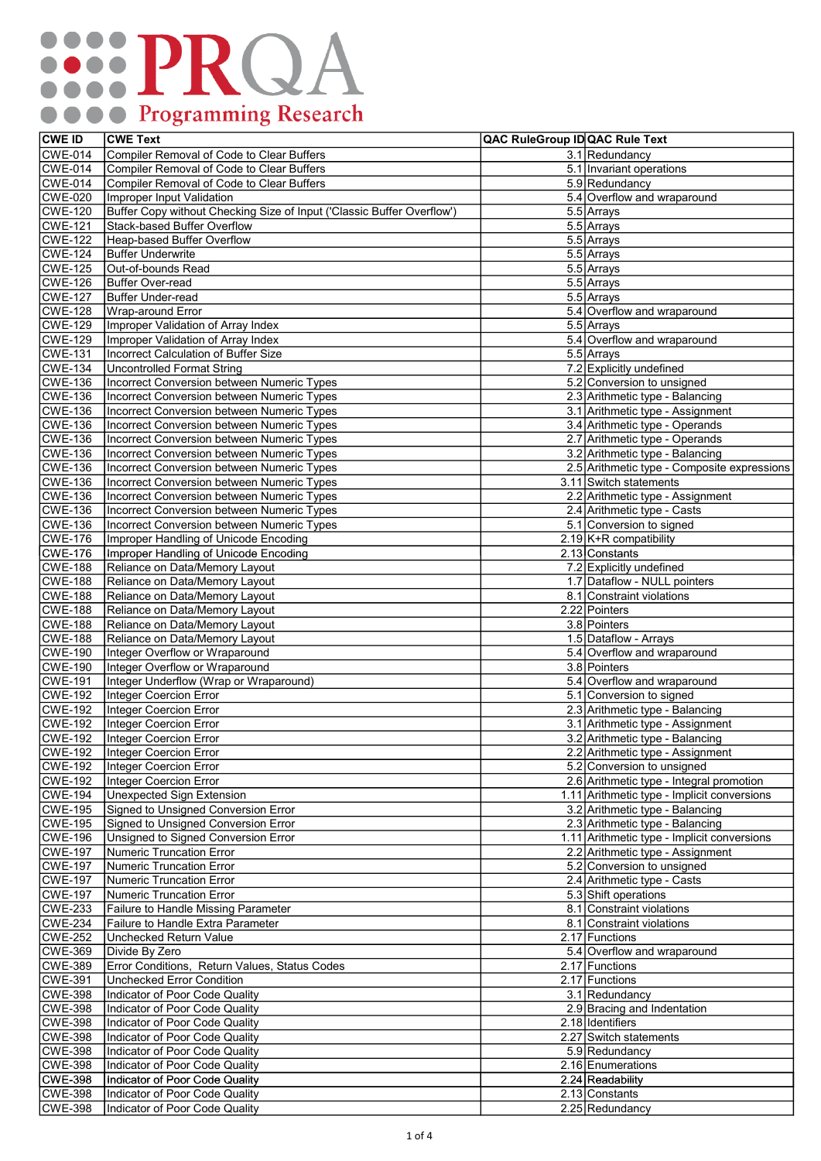## **..... PRQA** O O Programming Research

| <b>CWE ID</b>  | <b>CWE Text</b>                                                        | QAC RuleGroup ID QAC Rule Text |                                             |
|----------------|------------------------------------------------------------------------|--------------------------------|---------------------------------------------|
| <b>CWE-014</b> | Compiler Removal of Code to Clear Buffers                              |                                | 3.1 Redundancy                              |
| <b>CWE-014</b> | Compiler Removal of Code to Clear Buffers                              |                                | 5.1 Invariant operations                    |
| <b>CWE-014</b> | Compiler Removal of Code to Clear Buffers                              |                                | 5.9 Redundancy                              |
| <b>CWE-020</b> | Improper Input Validation                                              |                                | 5.4 Overflow and wraparound                 |
| <b>CWE-120</b> | Buffer Copy without Checking Size of Input ('Classic Buffer Overflow') |                                | 5.5 Arrays                                  |
| <b>CWE-121</b> | Stack-based Buffer Overflow                                            |                                | 5.5 Arrays                                  |
| <b>CWE-122</b> | Heap-based Buffer Overflow                                             |                                | 5.5 Arrays                                  |
| <b>CWE-124</b> | <b>Buffer Underwrite</b>                                               |                                | 5.5 Arrays                                  |
| <b>CWE-125</b> | Out-of-bounds Read                                                     |                                | 5.5 Arrays                                  |
| <b>CWE-126</b> | Buffer Over-read                                                       |                                | 5.5 Arrays                                  |
| <b>CWE-127</b> | Buffer Under-read                                                      |                                | 5.5 Arrays                                  |
| <b>CWE-128</b> | Wrap-around Error                                                      |                                | 5.4 Overflow and wraparound                 |
| <b>CWE-129</b> | Improper Validation of Array Index                                     |                                | 5.5 Arrays                                  |
| <b>CWE-129</b> | Improper Validation of Array Index                                     |                                | 5.4 Overflow and wraparound                 |
| <b>CWE-131</b> | Incorrect Calculation of Buffer Size                                   |                                | 5.5 Arrays                                  |
| <b>CWE-134</b> | Uncontrolled Format String                                             |                                | 7.2 Explicitly undefined                    |
| <b>CWE-136</b> | Incorrect Conversion between Numeric Types                             |                                | 5.2 Conversion to unsigned                  |
| <b>CWE-136</b> | Incorrect Conversion between Numeric Types                             |                                | 2.3 Arithmetic type - Balancing             |
| <b>CWE-136</b> | Incorrect Conversion between Numeric Types                             |                                | 3.1 Arithmetic type - Assignment            |
| <b>CWE-136</b> | Incorrect Conversion between Numeric Types                             |                                | 3.4 Arithmetic type - Operands              |
| <b>CWE-136</b> | Incorrect Conversion between Numeric Types                             |                                | 2.7 Arithmetic type - Operands              |
| <b>CWE-136</b> | Incorrect Conversion between Numeric Types                             |                                | 3.2 Arithmetic type - Balancing             |
| <b>CWE-136</b> | Incorrect Conversion between Numeric Types                             |                                | 2.5 Arithmetic type - Composite expressions |
| <b>CWE-136</b> | Incorrect Conversion between Numeric Types                             |                                | 3.11 Switch statements                      |
| <b>CWE-136</b> | Incorrect Conversion between Numeric Types                             |                                | 2.2 Arithmetic type - Assignment            |
| <b>CWE-136</b> | <b>Incorrect Conversion between Numeric Types</b>                      |                                | 2.4 Arithmetic type - Casts                 |
| <b>CWE-136</b> | Incorrect Conversion between Numeric Types                             |                                | 5.1 Conversion to signed                    |
| $CWE-176$      | Improper Handling of Unicode Encoding                                  |                                | 2.19 $K+R$ compatibility                    |
| <b>CWE-176</b> | Improper Handling of Unicode Encoding                                  |                                | 2.13 Constants                              |
| <b>CWE-188</b> | Reliance on Data/Memory Layout                                         |                                | 7.2 Explicitly undefined                    |
| <b>CWE-188</b> | Reliance on Data/Memory Layout                                         |                                | 1.7 Dataflow - NULL pointers                |
| <b>CWE-188</b> | Reliance on Data/Memory Layout                                         |                                | 8.1 Constraint violations                   |
| <b>CWE-188</b> | Reliance on Data/Memory Layout                                         |                                | 2.22 Pointers                               |
| <b>CWE-188</b> | Reliance on Data/Memory Layout                                         |                                | 3.8 Pointers                                |
| <b>CWE-188</b> | Reliance on Data/Memory Layout                                         |                                | 1.5 Dataflow - Arrays                       |
| <b>CWE-190</b> | Integer Overflow or Wraparound                                         |                                | 5.4 Overflow and wraparound                 |
| <b>CWE-190</b> | Integer Overflow or Wraparound                                         |                                | 3.8 Pointers                                |
| <b>CWE-191</b> | Integer Underflow (Wrap or Wraparound)                                 |                                | 5.4 Overflow and wraparound                 |
| <b>CWE-192</b> | Integer Coercion Error                                                 |                                | 5.1 Conversion to signed                    |
| <b>CWE-192</b> | Integer Coercion Error                                                 |                                | 2.3 Arithmetic type - Balancing             |
| <b>CWE-192</b> | Integer Coercion Error                                                 |                                | 3.1 Arithmetic type - Assignment            |
| <b>CWE-192</b> | Integer Coercion Error                                                 |                                | 3.2 Arithmetic type - Balancing             |
| <b>CWE-192</b> | <b>Integer Coercion Error</b>                                          |                                | 2.2 Arithmetic type - Assignment            |
| <b>CWE-192</b> | Integer Coercion Error                                                 |                                | 5.2 Conversion to unsigned                  |
| <b>CWE-192</b> | Integer Coercion Error                                                 |                                | 2.6 Arithmetic type - Integral promotion    |
| <b>CWE-194</b> | Unexpected Sign Extension                                              |                                | 1.11 Arithmetic type - Implicit conversions |
| <b>CWE-195</b> | Signed to Unsigned Conversion Error                                    |                                | 3.2 Arithmetic type - Balancing             |
| <b>CWE-195</b> | Signed to Unsigned Conversion Error                                    |                                | 2.3 Arithmetic type - Balancing             |
| <b>CWE-196</b> | Unsigned to Signed Conversion Error                                    |                                | 1.11 Arithmetic type - Implicit conversions |
| <b>CWE-197</b> | Numeric Truncation Error                                               |                                | 2.2 Arithmetic type - Assignment            |
| <b>CWE-197</b> | Numeric Truncation Error                                               |                                | 5.2 Conversion to unsigned                  |
| <b>CWE-197</b> | Numeric Truncation Error                                               |                                | 2.4 Arithmetic type - Casts                 |
| <b>CWE-197</b> | Numeric Truncation Error                                               |                                | 5.3 Shift operations                        |
| <b>CWE-233</b> | Failure to Handle Missing Parameter                                    |                                | 8.1 Constraint violations                   |
| <b>CWE-234</b> | Failure to Handle Extra Parameter                                      |                                | 8.1 Constraint violations                   |
| <b>CWE-252</b> | Unchecked Return Value                                                 |                                | 2.17 Functions                              |
| <b>CWE-369</b> | Divide By Zero                                                         |                                | 5.4 Overflow and wraparound                 |
| <b>CWE-389</b> | Error Conditions, Return Values, Status Codes                          |                                | 2.17 Functions                              |
| <b>CWE-391</b> | Unchecked Error Condition                                              |                                | 2.17 Functions                              |
| <b>CWE-398</b> | Indicator of Poor Code Quality                                         |                                | 3.1 Redundancy                              |
| <b>CWE-398</b> | Indicator of Poor Code Quality                                         |                                | 2.9 Bracing and Indentation                 |
| <b>CWE-398</b> | Indicator of Poor Code Quality                                         |                                | 2.18 Identifiers                            |
| <b>CWE-398</b> | Indicator of Poor Code Quality                                         |                                | 2.27 Switch statements                      |
| <b>CWE-398</b> | Indicator of Poor Code Quality                                         |                                | 5.9 Redundancy                              |
| <b>CWE-398</b> | Indicator of Poor Code Quality                                         |                                | 2.16 Enumerations                           |
| <b>CWE-398</b> | Indicator of Poor Code Quality                                         |                                | 2.24 Readability                            |
| <b>CWE-398</b> | Indicator of Poor Code Quality                                         |                                | 2.13 Constants                              |
| <b>CWE-398</b> | Indicator of Poor Code Quality                                         |                                | 2.25 Redundancy                             |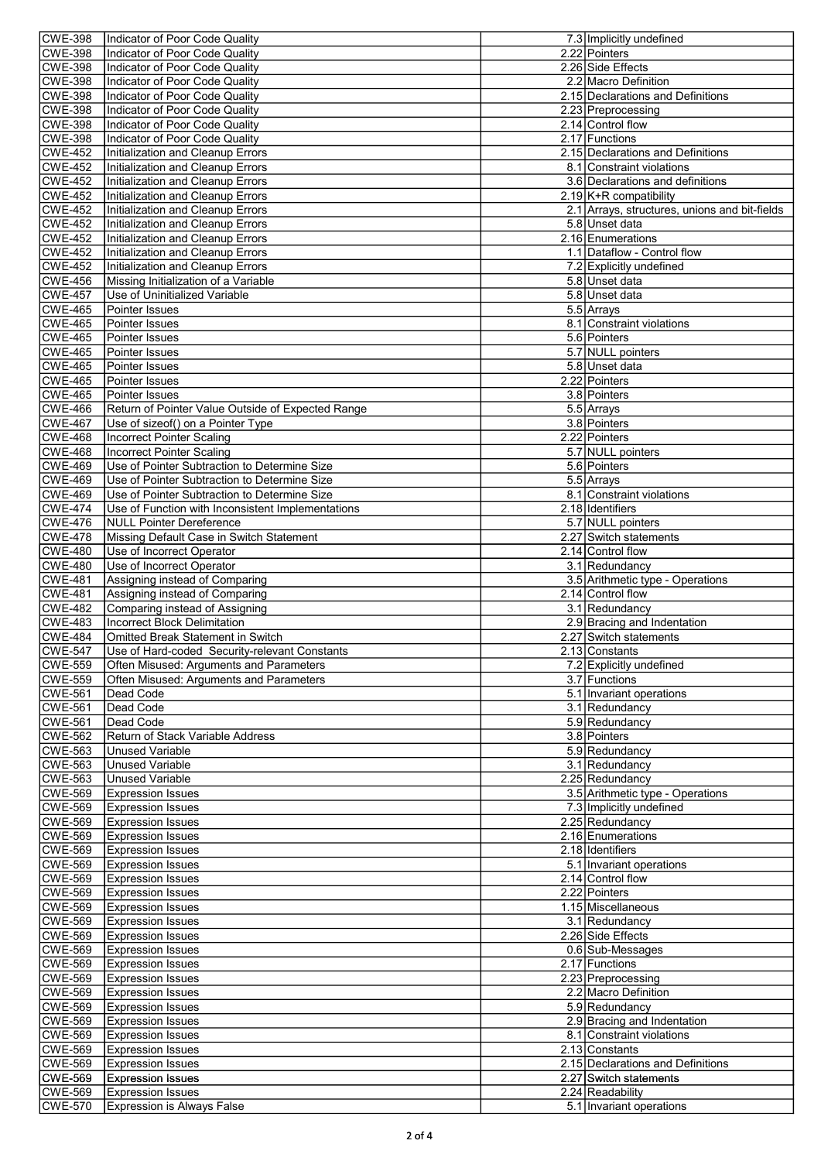| <b>CWE-398</b>                   | Indicator of Poor Code Quality                                        | 7.3 Implicitly undefined                              |
|----------------------------------|-----------------------------------------------------------------------|-------------------------------------------------------|
| <b>CWE-398</b>                   | Indicator of Poor Code Quality                                        | 2.22 Pointers                                         |
| CWE-398                          | Indicator of Poor Code Quality                                        | 2.26 Side Effects                                     |
| <b>CWE-398</b>                   | Indicator of Poor Code Quality                                        | 2.2 Macro Definition                                  |
| CWE-398                          | Indicator of Poor Code Quality                                        | 2.15 Declarations and Definitions                     |
| <b>CWE-398</b><br><b>CWE-398</b> | Indicator of Poor Code Quality<br>Indicator of Poor Code Qualitv      | 2.23 Preprocessing<br>2.14 Control flow               |
| <b>CWE-398</b>                   | Indicator of Poor Code Quality                                        | 2.17 Functions                                        |
| CWE-452                          | Initialization and Cleanup Errors                                     | 2.15 Declarations and Definitions                     |
| <b>CWE-452</b>                   | Initialization and Cleanup Errors                                     | 8.1 Constraint violations                             |
| <b>CWE-452</b>                   | Initialization and Cleanup Errors                                     | 3.6 Declarations and definitions                      |
| <b>CWE-452</b>                   | Initialization and Cleanup Errors                                     | 2.19 $K+R$ compatibility                              |
| <b>CWE-452</b>                   | Initialization and Cleanup Errors                                     | 2.1 Arrays, structures, unions and bit-fields         |
| <b>CWE-452</b>                   | Initialization and Cleanup Errors                                     | 5.8 Unset data                                        |
| <b>CWE-452</b>                   | Initialization and Cleanup Errors                                     | 2.16 Enumerations                                     |
| CWE-452                          | Initialization and Cleanup Errors                                     | 1.1 Dataflow - Control flow                           |
| CWE-452                          | Initialization and Cleanup Errors                                     | 7.2 Explicitly undefined                              |
| <b>CWE-456</b>                   | Missing Initialization of a Variable                                  | 5.8 Unset data                                        |
| <b>CWE-457</b>                   | Use of Uninitialized Variable                                         | 5.8 Unset data                                        |
| CWE-465<br><b>CWE-465</b>        | Pointer Issues<br>Pointer Issues                                      | 5.5 Arrays<br>8.1 Constraint violations               |
| <b>CWE-465</b>                   | Pointer Issues                                                        | 5.6 Pointers                                          |
| <b>CWE-465</b>                   | Pointer Issues                                                        | 5.7 NULL pointers                                     |
| CWE-465                          | Pointer Issues                                                        | 5.8 Unset data                                        |
| <b>CWE-465</b>                   | Pointer Issues                                                        | 2.22 Pointers                                         |
| <b>CWE-465</b>                   | Pointer Issues                                                        | 3.8 Pointers                                          |
| <b>CWE-466</b>                   | Return of Pointer Value Outside of Expected Range                     | 5.5 Arrays                                            |
| CWE-467                          | Use of sizeof() on a Pointer Type                                     | 3.8 Pointers                                          |
| <b>CWE-468</b>                   | <b>Incorrect Pointer Scaling</b>                                      | 2.22 Pointers                                         |
| <b>CWE-468</b>                   | Incorrect Pointer Scaling                                             | 5.7 NULL pointers                                     |
| <b>CWE-469</b>                   | Use of Pointer Subtraction to Determine Size                          | 5.6 Pointers                                          |
| <b>CWE-469</b>                   | Use of Pointer Subtraction to Determine Size                          | 5.5 Arrays                                            |
| <b>CWE-469</b>                   | Use of Pointer Subtraction to Determine Size                          | 8.1 Constraint violations                             |
| $\textsf{CWE-474}$               | Use of Function with Inconsistent Implementations                     | 2.18 Identifiers                                      |
| CWE-476                          | <b>NULL Pointer Dereference</b>                                       | 5.7 NULL pointers                                     |
| <b>CWE-478</b><br><b>CWE-480</b> | Missing Default Case in Switch Statement<br>Use of Incorrect Operator | 2.27 Switch statements<br>2.14 Control flow           |
| <b>CWE-480</b>                   | Use of Incorrect Operator                                             | 3.1 Redundancy                                        |
| CWE-481                          | Assigning instead of Comparing                                        | 3.5 Arithmetic type - Operations                      |
|                                  |                                                                       |                                                       |
|                                  |                                                                       |                                                       |
| <b>CWE-481</b>                   | Assigning instead of Comparing                                        | 2.14 Control flow<br>3.1 Redundancy                   |
| CWE-482<br><b>CWE-483</b>        | Comparing instead of Assigning<br><b>Incorrect Block Delimitation</b> |                                                       |
| <b>CWE-484</b>                   | Omitted Break Statement in Switch                                     | 2.9 Bracing and Indentation<br>2.27 Switch statements |
| <b>CWE-547</b>                   | Use of Hard-coded Security-relevant Constants                         | 2.13 Constants                                        |
| <b>CWE-559</b>                   | Often Misused: Arguments and Parameters                               | 7.2 Explicitly undefined                              |
| CWE-559                          | Often Misused: Arguments and Parameters                               | 3.7 Functions                                         |
| <b>CWE-561</b>                   | Dead Code                                                             | 5.1 Invariant operations                              |
| <b>CWE-561</b>                   | Dead Code                                                             | 3.1 Redundancy                                        |
| CWE-561                          | Dead Code                                                             | 5.9 Redundancy                                        |
| CWE-562                          | Return of Stack Variable Address                                      | 3.8 Pointers                                          |
| CWE-563                          | <b>Unused Variable</b>                                                | 5.9 Redundancy                                        |
| CWE-563                          | <b>Unused Variable</b>                                                | 3.1 Redundancy                                        |
| CWE-563                          | <b>Unused Variable</b><br><b>Expression Issues</b>                    | 2.25 Redundancy<br>3.5 Arithmetic type - Operations   |
| CWE-569<br>CWE-569               | <b>Expression Issues</b>                                              | 7.3 Implicitly undefined                              |
| CWE-569                          | <b>Expression Issues</b>                                              | 2.25 Redundancy                                       |
| CWE-569                          | <b>Expression Issues</b>                                              | 2.16 Enumerations                                     |
| <b>CWE-569</b>                   | <b>Expression Issues</b>                                              | 2.18 Identifiers                                      |
| <b>CWE-569</b>                   | <b>Expression Issues</b>                                              | 5.1 Invariant operations                              |
| CWE-569                          | <b>Expression Issues</b>                                              | 2.14 Control flow                                     |
| <b>CWE-569</b>                   | <b>Expression Issues</b>                                              | 2.22 Pointers                                         |
| CWE-569                          | <b>Expression Issues</b>                                              | 1.15 Miscellaneous                                    |
| <b>CWE-569</b>                   | <b>Expression Issues</b>                                              | 3.1 Redundancy                                        |
| CWE-569                          | <b>Expression Issues</b>                                              | 2.26 Side Effects                                     |
| CWE-569                          | <b>Expression Issues</b><br><b>Expression Issues</b>                  | 0.6 Sub-Messages                                      |
| CWE-569<br>CWE-569               | <b>Expression Issues</b>                                              | 2.17 Functions<br>2.23 Preprocessing                  |
| CWE-569                          | <b>Expression Issues</b>                                              | 2.2 Macro Definition                                  |
| <b>CWE-569</b>                   | <b>Expression Issues</b>                                              | 5.9 Redundancy                                        |
| <b>CWE-569</b>                   | <b>Expression Issues</b>                                              | 2.9 Bracing and Indentation                           |
| CWE-569                          | <b>Expression Issues</b>                                              | 8.1 Constraint violations                             |
| CWE-569                          | <b>Expression Issues</b>                                              | 2.13 Constants                                        |
| CWE-569                          | <b>Expression Issues</b>                                              | 2.15 Declarations and Definitions                     |
| <b>CWE-569</b>                   | <b>Expression Issues</b>                                              | 2.27 Switch statements                                |
| CWE-569<br>CWE-570               | <b>Expression Issues</b><br><b>Expression is Always False</b>         | 2.24 Readability<br>5.1 Invariant operations          |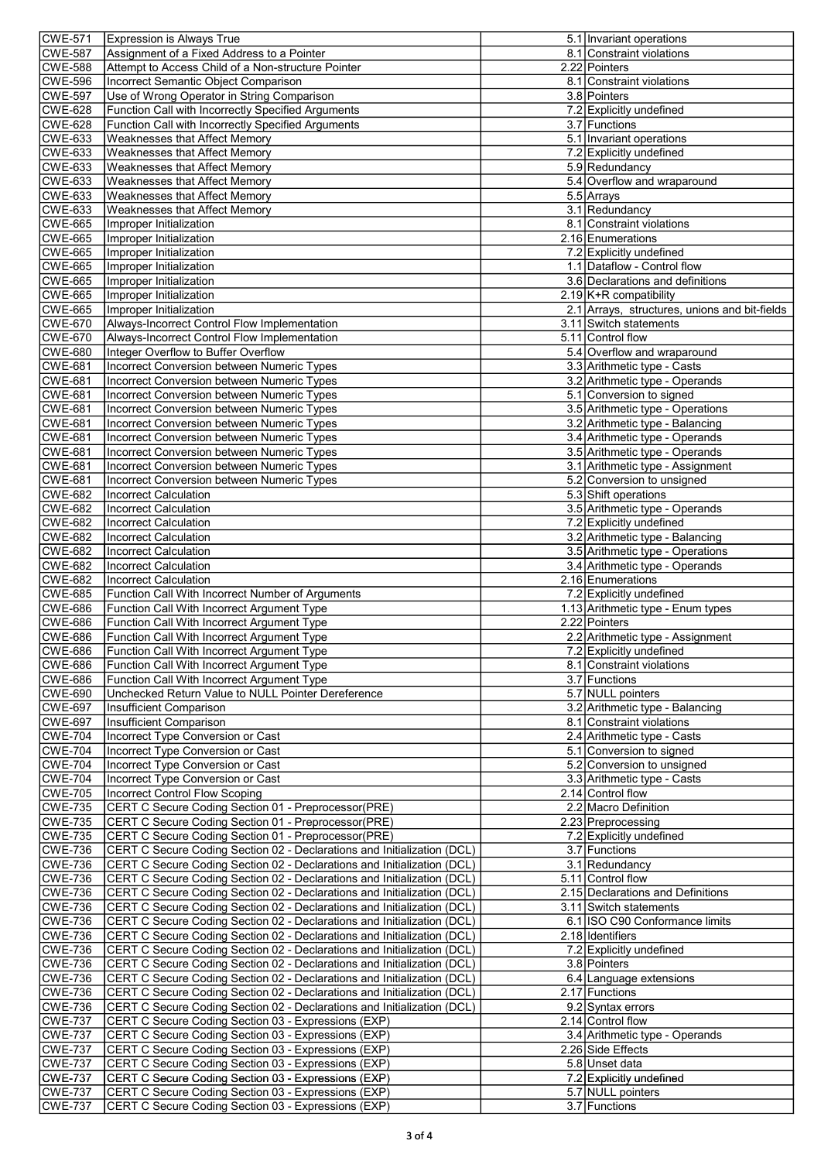| <b>CWE-571</b>                   | Expression is Always True                                                                                  | 5.1 Invariant operations                                      |
|----------------------------------|------------------------------------------------------------------------------------------------------------|---------------------------------------------------------------|
| <b>CWE-587</b>                   | Assignment of a Fixed Address to a Pointer                                                                 | 8.1 Constraint violations                                     |
| <b>CWE-588</b>                   | Attempt to Access Child of a Non-structure Pointer                                                         | 2.22 Pointers                                                 |
| <b>CWE-596</b>                   | <b>Incorrect Semantic Object Comparison</b>                                                                | 8.1 Constraint violations                                     |
| <b>CWE-597</b>                   | Use of Wrong Operator in String Comparison                                                                 | 3.8 Pointers                                                  |
| <b>CWE-628</b>                   | Function Call with Incorrectly Specified Arguments                                                         | 7.2 Explicitly undefined                                      |
| <b>CWE-628</b><br><b>CWE-633</b> | Function Call with Incorrectly Specified Arguments<br>Weaknesses that Affect Memory                        | 3.7 Functions<br>5.1 Invariant operations                     |
| <b>CWE-633</b>                   | Weaknesses that Affect Memory                                                                              | 7.2 Explicitly undefined                                      |
| <b>CWE-633</b>                   | Weaknesses that Affect Memory                                                                              | 5.9 Redundancy                                                |
| <b>CWE-633</b>                   | Weaknesses that Affect Memory                                                                              | 5.4 Overflow and wraparound                                   |
| <b>CWE-633</b>                   | <b>Weaknesses that Affect Memory</b>                                                                       | 5.5 Arrays                                                    |
| <b>CWE-633</b>                   | <b>Weaknesses that Affect Memory</b>                                                                       | 3.1 Redundancy                                                |
| <b>CWE-665</b>                   | Improper Initialization                                                                                    | 8.1 Constraint violations                                     |
| <b>CWE-665</b>                   | Improper Initialization                                                                                    | 2.16 Enumerations                                             |
| <b>CWE-665</b>                   | Improper Initialization                                                                                    | 7.2 Explicitly undefined                                      |
| <b>CWE-665</b>                   | Improper Initialization                                                                                    | 1.1 Dataflow - Control flow                                   |
| <b>CWE-665</b>                   | Improper Initialization                                                                                    | 3.6 Declarations and definitions                              |
| <b>CWE-665</b>                   | Improper Initialization                                                                                    | 2.19 K+R compatibility                                        |
| <b>CWE-665</b>                   | Improper Initialization                                                                                    | 2.1 Arrays, structures, unions and bit-fields                 |
| <b>CWE-670</b>                   | Always-Incorrect Control Flow Implementation                                                               | 3.11 Switch statements                                        |
| <b>CWE-670</b>                   | Always-Incorrect Control Flow Implementation                                                               | 5.11 Control flow                                             |
| <b>CWE-680</b><br><b>CWE-681</b> | Integer Overflow to Buffer Overflow                                                                        | 5.4 Overflow and wraparound                                   |
| <b>CWE-681</b>                   | Incorrect Conversion between Numeric Types<br><b>Incorrect Conversion between Numeric Types</b>            | 3.3 Arithmetic type - Casts<br>3.2 Arithmetic type - Operands |
| <b>CWE-681</b>                   | Incorrect Conversion between Numeric Types                                                                 | 5.1 Conversion to signed                                      |
| <b>CWE-681</b>                   | Incorrect Conversion between Numeric Types                                                                 | 3.5 Arithmetic type - Operations                              |
| <b>CWE-681</b>                   | Incorrect Conversion between Numeric Types                                                                 | 3.2 Arithmetic type - Balancing                               |
| <b>CWE-681</b>                   | Incorrect Conversion between Numeric Types                                                                 | 3.4 Arithmetic type - Operands                                |
| <b>CWE-681</b>                   | Incorrect Conversion between Numeric Types                                                                 | 3.5 Arithmetic type - Operands                                |
| <b>CWE-681</b>                   | Incorrect Conversion between Numeric Types                                                                 | 3.1 Arithmetic type - Assignment                              |
| <b>CWE-681</b>                   | <b>Incorrect Conversion between Numeric Types</b>                                                          | 5.2 Conversion to unsigned                                    |
| <b>CWE-682</b>                   | <b>Incorrect Calculation</b>                                                                               | 5.3 Shift operations                                          |
| <b>CWE-682</b>                   | <b>Incorrect Calculation</b>                                                                               | 3.5 Arithmetic type - Operands                                |
| <b>CWE-682</b>                   | <b>Incorrect Calculation</b>                                                                               | 7.2 Explicitly undefined                                      |
| <b>CWE-682</b>                   | <b>Incorrect Calculation</b>                                                                               | 3.2 Arithmetic type - Balancing                               |
| <b>CWE-682</b>                   | <b>Incorrect Calculation</b>                                                                               | 3.5 Arithmetic type - Operations                              |
| <b>CWE-682</b>                   | Incorrect Calculation                                                                                      | 3.4 Arithmetic type - Operands                                |
| <b>CWE-682</b>                   | Incorrect Calculation                                                                                      | 2.16 Enumerations                                             |
| <b>CWE-685</b>                   | Function Call With Incorrect Number of Arguments                                                           | 7.2 Explicitly undefined<br>1.13 Arithmetic type - Enum types |
| <b>CWE-686</b><br><b>CWE-686</b> | Function Call With Incorrect Argument Type<br>Function Call With Incorrect Argument Type                   | 2.22 Pointers                                                 |
| <b>CWE-686</b>                   | Function Call With Incorrect Argument Type                                                                 | 2.2 Arithmetic type - Assignment                              |
| <b>CWE-686</b>                   | Function Call With Incorrect Argument Type                                                                 | 7.2 Explicitly undefined                                      |
| <b>CWE-686</b>                   | Function Call With Incorrect Argument Type                                                                 | 8.1 Constraint violations                                     |
| <b>CWE-686</b>                   | Function Call With Incorrect Argument Type                                                                 | 3.7 Functions                                                 |
| <b>CWE-690</b>                   | Unchecked Return Value to NULL Pointer Dereference                                                         | 5.7 NULL pointers                                             |
| <b>CWE-697</b>                   | Insufficient Comparison                                                                                    | 3.2 Arithmetic type - Balancing                               |
| <b>CWE-697</b>                   | Insufficient Comparison                                                                                    | 8.1 Constraint violations                                     |
| <b>CWE-704</b>                   | Incorrect Type Conversion or Cast                                                                          | 2.4 Arithmetic type - Casts                                   |
| <b>CWE-704</b>                   | Incorrect Type Conversion or Cast                                                                          | 5.1 Conversion to signed                                      |
| <b>CWE-704</b>                   | Incorrect Type Conversion or Cast                                                                          | 5.2 Conversion to unsigned                                    |
| <b>CWE-704</b>                   | Incorrect Type Conversion or Cast                                                                          | 3.3 Arithmetic type - Casts                                   |
| <b>CWE-705</b>                   | <b>Incorrect Control Flow Scoping</b>                                                                      | 2.14 Control flow                                             |
| <b>CWE-735</b><br><b>CWE-735</b> | CERT C Secure Coding Section 01 - Preprocessor(PRE)                                                        | 2.2 Macro Definition                                          |
| <b>CWE-735</b>                   | CERT C Secure Coding Section 01 - Preprocessor(PRE)<br>CERT C Secure Coding Section 01 - Preprocessor(PRE) | 2.23 Preprocessing<br>7.2 Explicitly undefined                |
| <b>CWE-736</b>                   | CERT C Secure Coding Section 02 - Declarations and Initialization (DCL)                                    | 3.7 Functions                                                 |
| <b>CWE-736</b>                   | CERT C Secure Coding Section 02 - Declarations and Initialization (DCL)                                    | 3.1 Redundancy                                                |
| <b>CWE-736</b>                   | CERT C Secure Coding Section 02 - Declarations and Initialization (DCL)                                    | 5.11 Control flow                                             |
| <b>CWE-736</b>                   | CERT C Secure Coding Section 02 - Declarations and Initialization (DCL)                                    | 2.15 Declarations and Definitions                             |
| <b>CWE-736</b>                   | CERT C Secure Coding Section 02 - Declarations and Initialization (DCL)                                    | 3.11 Switch statements                                        |
| <b>CWE-736</b>                   | CERT C Secure Coding Section 02 - Declarations and Initialization (DCL)                                    | 6.1 ISO C90 Conformance limits                                |
| <b>CWE-736</b>                   | CERT C Secure Coding Section 02 - Declarations and Initialization (DCL)                                    | 2.18 Identifiers                                              |
| <b>CWE-736</b>                   | CERT C Secure Coding Section 02 - Declarations and Initialization (DCL)                                    | 7.2 Explicitly undefined                                      |
| <b>CWE-736</b>                   | CERT C Secure Coding Section 02 - Declarations and Initialization (DCL)                                    | 3.8 Pointers                                                  |
| <b>CWE-736</b>                   | CERT C Secure Coding Section 02 - Declarations and Initialization (DCL)                                    | 6.4 Language extensions                                       |
| <b>CWE-736</b>                   | CERT C Secure Coding Section 02 - Declarations and Initialization (DCL)                                    | 2.17 Functions                                                |
| <b>CWE-736</b>                   | CERT C Secure Coding Section 02 - Declarations and Initialization (DCL)                                    | 9.2 Syntax errors                                             |
| <b>CWE-737</b>                   | CERT C Secure Coding Section 03 - Expressions (EXP)                                                        | 2.14 Control flow                                             |
| <b>CWE-737</b><br><b>CWE-737</b> | CERT C Secure Coding Section 03 - Expressions (EXP)<br>CERT C Secure Coding Section 03 - Expressions (EXP) | 3.4 Arithmetic type - Operands<br>2.26 Side Effects           |
| <b>CWE-737</b>                   | CERT C Secure Coding Section 03 - Expressions (EXP)                                                        | 5.8 Unset data                                                |
| <b>CWE-737</b>                   | CERT C Secure Coding Section 03 - Expressions (EXP)                                                        | 7.2 Explicitly undefined                                      |
| <b>CWE-737</b>                   | CERT C Secure Coding Section 03 - Expressions (EXP)                                                        | 5.7 NULL pointers                                             |
| <b>CWE-737</b>                   | CERT C Secure Coding Section 03 - Expressions (EXP)                                                        | 3.7 Functions                                                 |